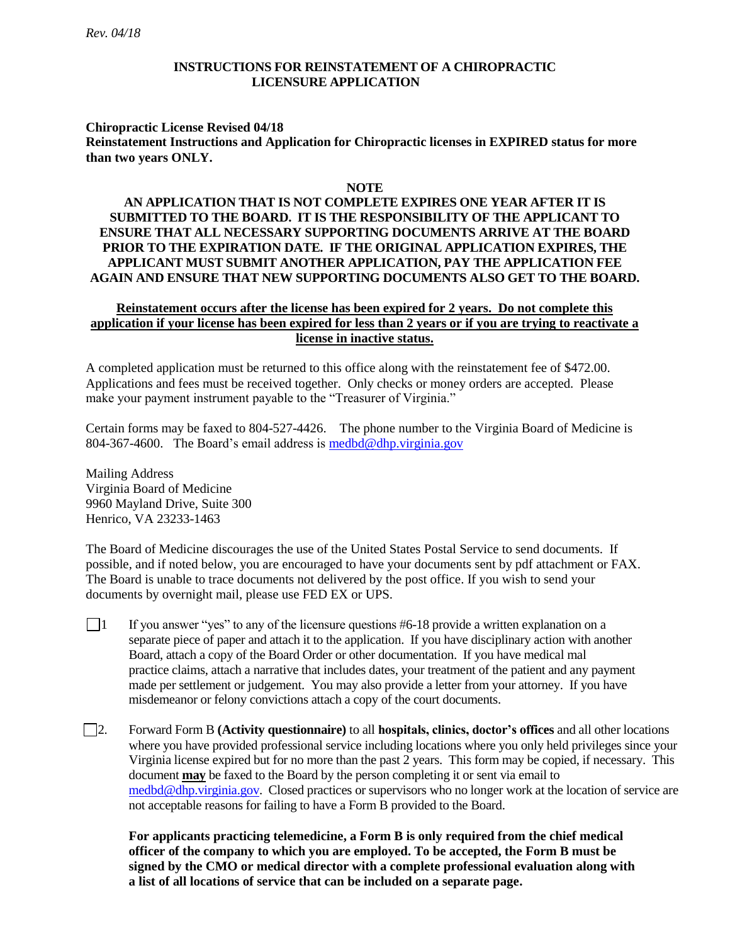#### **INSTRUCTIONS FOR REINSTATEMENT OF A CHIROPRACTIC LICENSURE APPLICATION**

#### **Chiropractic License Revised 04/18 Reinstatement Instructions and Application for Chiropractic licenses in EXPIRED status for more than two years ONLY.**

#### **NOTE**

#### **AN APPLICATION THAT IS NOT COMPLETE EXPIRES ONE YEAR AFTER IT IS SUBMITTED TO THE BOARD. IT IS THE RESPONSIBILITY OF THE APPLICANT TO ENSURE THAT ALL NECESSARY SUPPORTING DOCUMENTS ARRIVE AT THE BOARD PRIOR TO THE EXPIRATION DATE. IF THE ORIGINAL APPLICATION EXPIRES, THE APPLICANT MUST SUBMIT ANOTHER APPLICATION, PAY THE APPLICATION FEE AGAIN AND ENSURE THAT NEW SUPPORTING DOCUMENTS ALSO GET TO THE BOARD.**

#### **Reinstatement occurs after the license has been expired for 2 years. Do not complete this application if your license has been expired for less than 2 years or if you are trying to reactivate a license in inactive status.**

A completed application must be returned to this office along with the reinstatement fee of \$472.00. Applications and fees must be received together. Only checks or money orders are accepted. Please make your payment instrument payable to the "Treasurer of Virginia."

Certain forms may be faxed to 804-527-4426. The phone number to the Virginia Board of Medicine is 804-367-4600. The Board's email address is [medbd@dhp.virginia.gov](mailto:medbd@dhp.virginia.gov) 

Mailing Address Virginia Board of Medicine 9960 Mayland Drive, Suite 300 Henrico, VA 23233-1463

The Board of Medicine discourages the use of the United States Postal Service to send documents. If possible, and if noted below, you are encouraged to have your documents sent by pdf attachment or FAX. The Board is unable to trace documents not delivered by the post office. If you wish to send your documents by overnight mail, please use FED EX or UPS.

- $\Box$  If you answer "yes" to any of the licensure questions #6-18 provide a written explanation on a separate piece of paper and attach it to the application. If you have disciplinary action with another Board, attach a copy of the Board Order or other documentation. If you have medical mal practice claims, attach a narrative that includes dates, your treatment of the patient and any payment made per settlement or judgement. You may also provide a letter from your attorney. If you have misdemeanor or felony convictions attach a copy of the court documents.
- 2. Forward Form B **(Activity questionnaire)** to all **hospitals, clinics, doctor's offices** and all other locations where you have provided professional service including locations where you only held privileges since your Virginia license expired but for no more than the past 2 years. This form may be copied, if necessary. This document **may** be faxed to the Board by the person completing it or sent via email to [medbd@dhp.virginia.gov.](mailto:medbd@dhp.virginia.gov) Closed practices or supervisors who no longer work at the location of service are not acceptable reasons for failing to have a Form B provided to the Board.

**For applicants practicing telemedicine, a Form B is only required from the chief medical officer of the company to which you are employed. To be accepted, the Form B must be signed by the CMO or medical director with a complete professional evaluation along with a list of all locations of service that can be included on a separate page.**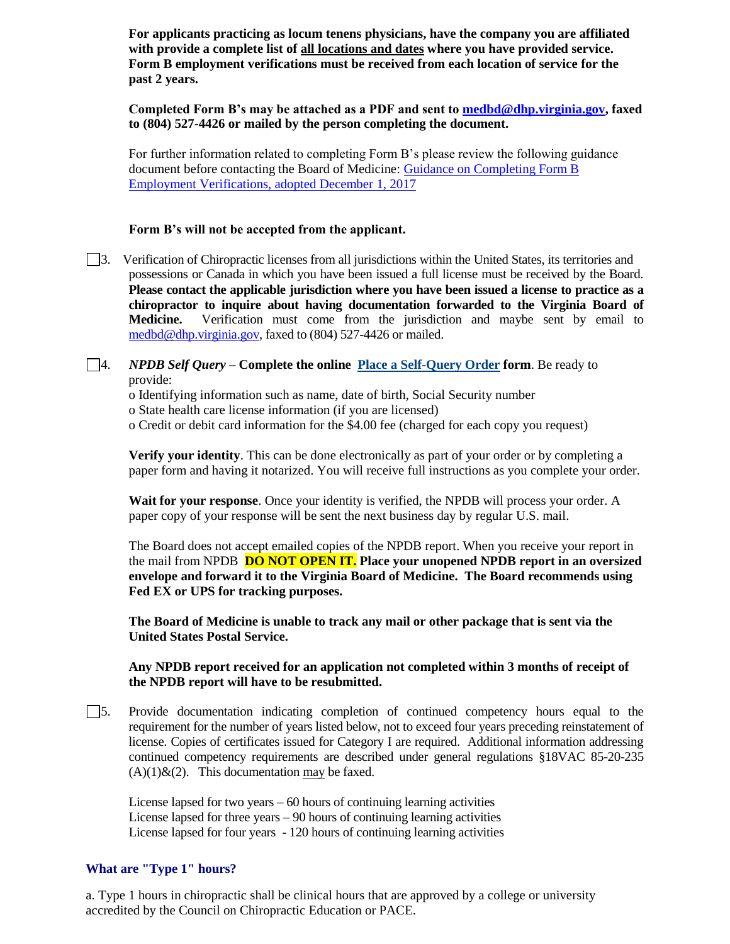**For applicants practicing as locum tenens physicians, have the company you are affiliated with provide a complete list of all locations and dates where you have provided service. Form B employment verifications must be received from each location of service for the past 2 years.** 

**Completed Form B's may be attached as a PDF and sent to [medbd@dhp.virginia.gov,](mailto:medbd@dhp.virginia.gov) faxed to (804) 527-4426 or mailed by the person completing the document.** 

For further information related to completing Form B's please review the following guidance document before contacting the Board of Medicine: [Guidance on Completing Form B](https://www.dhp.virginia.gov/medicine/guidelines/85-3.docx)  [Employment Verifications, adopted December 1, 2017](https://www.dhp.virginia.gov/medicine/guidelines/85-3.docx)

#### **Form B's will not be accepted from the applicant.**

3. Verification of Chiropractic licenses from all jurisdictions within the United States, its territories and possessions or Canada in which you have been issued a full license must be received by the Board. **Please contact the applicable jurisdiction where you have been issued a license to practice as a chiropractor to inquire about having documentation forwarded to the Virginia Board of Medicine.** Verification must come from the jurisdiction and maybe sent by email to [medbd@dhp.virginia.gov,](mailto:medbd@dhp.virginia.gov) faxed to (804) 527-4426 or mailed.

#### 4. *NPDB Self Query –* **Complete the online [Place a Self-Query Order](https://www.npdb.hrsa.gov/ext/selfquery/SQHome.jsp) form**. Be ready to provide:

o Identifying information such as name, date of birth, Social Security number o State health care license information (if you are licensed) o Credit or debit card information for the \$4.00 fee (charged for each copy you request)

**Verify your identity**. This can be done electronically as part of your order or by completing a paper form and having it notarized. You will receive full instructions as you complete your order.

**Wait for your response**. Once your identity is verified, the NPDB will process your order. A paper copy of your response will be sent the next business day by regular U.S. mail.

The Board does not accept emailed copies of the NPDB report. When you receive your report in the mail from NPDB **DO NOT OPEN IT. Place your unopened NPDB report in an oversized envelope and forward it to the Virginia Board of Medicine. The Board recommends using Fed EX or UPS for tracking purposes.** 

**The Board of Medicine is unable to track any mail or other package that is sent via the United States Postal Service.**

#### **Any NPDB report received for an application not completed within 3 months of receipt of the NPDB report will have to be resubmitted.**

5. Provide documentation indicating completion of continued competency hours equal to the requirement for the number of years listed below, not to exceed four years preceding reinstatement of license. Copies of certificates issued for Category I are required. Additional information addressing continued competency requirements are described under general regulations §18VAC 85-20-235  $(A)(1)\&(2)$ . This documentation may be faxed.

License lapsed for two years – 60 hours of continuing learning activities License lapsed for three years  $-90$  hours of continuing learning activities License lapsed for four years - 120 hours of continuing learning activities

#### **What are "Type 1" hours?**

a. Type 1 hours in chiropractic shall be clinical hours that are approved by a college or university accredited by the Council on Chiropractic Education or PACE.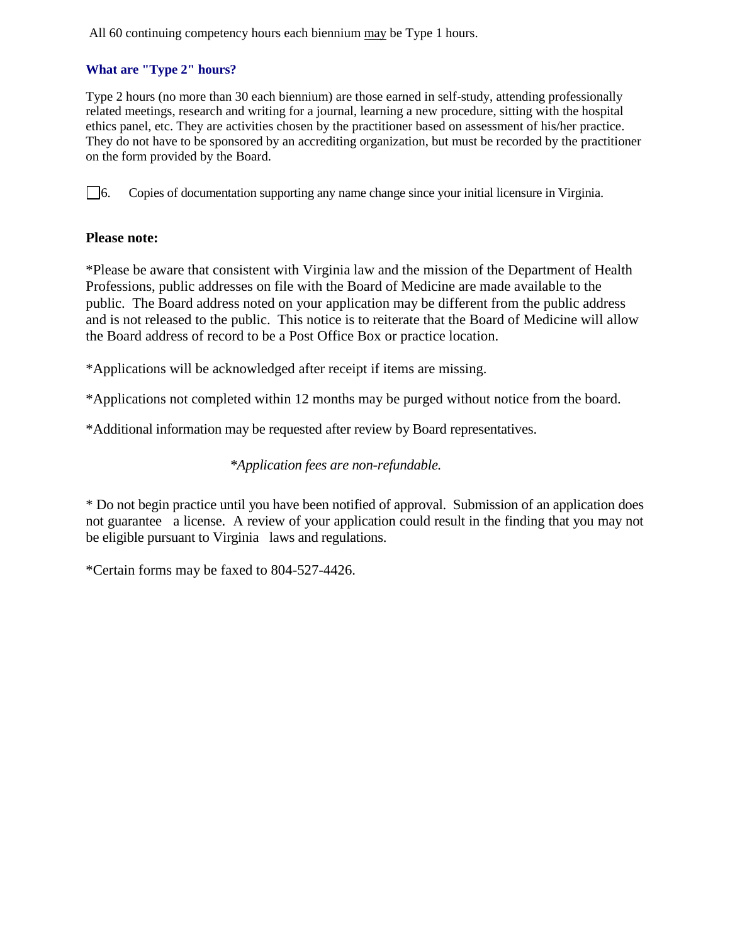All 60 continuing competency hours each biennium may be Type 1 hours.

## **What are "Type 2" hours?**

Type 2 hours (no more than 30 each biennium) are those earned in self-study, attending professionally related meetings, research and writing for a journal, learning a new procedure, sitting with the hospital ethics panel, etc. They are activities chosen by the practitioner based on assessment of his/her practice. They do not have to be sponsored by an accrediting organization, but must be recorded by the practitioner on the form provided by the Board.

6. Copies of documentation supporting any name change since your initial licensure in Virginia.

## **Please note:**

\*Please be aware that consistent with Virginia law and the mission of the Department of Health Professions, public addresses on file with the Board of Medicine are made available to the public. The Board address noted on your application may be different from the public address and is not released to the public. This notice is to reiterate that the Board of Medicine will allow the Board address of record to be a Post Office Box or practice location.

\*Applications will be acknowledged after receipt if items are missing.

\*Applications not completed within 12 months may be purged without notice from the board.

\*Additional information may be requested after review by Board representatives.

# *\*Application fees are non-refundable.*

\* Do not begin practice until you have been notified of approval. Submission of an application does not guarantee a license. A review of your application could result in the finding that you may not be eligible pursuant to Virginia laws and regulations.

\*Certain forms may be faxed to 804-527-4426.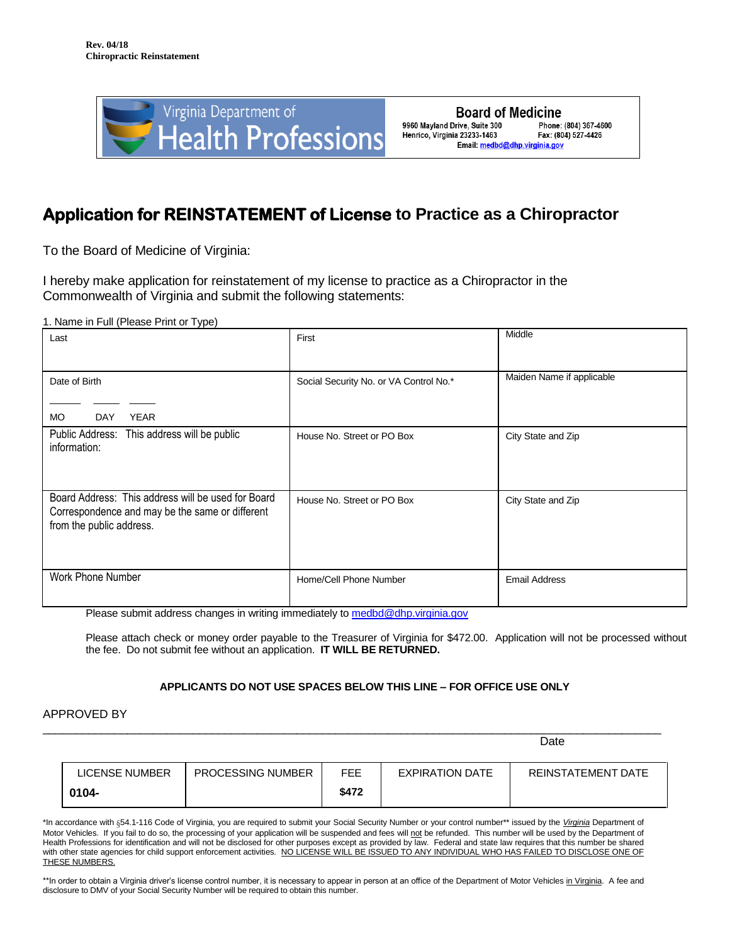

# **Application for REINSTATEMENT of License to Practice as a Chiropractor**

To the Board of Medicine of Virginia:

I hereby make application for reinstatement of my license to practice as a Chiropractor in the Commonwealth of Virginia and submit the following statements:

1. Name in Full (Please Print or Type)

| Last                                                                                                                              | First                                  | Middle                    |
|-----------------------------------------------------------------------------------------------------------------------------------|----------------------------------------|---------------------------|
| Date of Birth                                                                                                                     | Social Security No. or VA Control No.* | Maiden Name if applicable |
| <b>MO</b><br><b>YEAR</b><br><b>DAY</b>                                                                                            |                                        |                           |
| Public Address:<br>This address will be public<br>information:                                                                    | House No. Street or PO Box             | City State and Zip        |
| Board Address: This address will be used for Board<br>Correspondence and may be the same or different<br>from the public address. | House No. Street or PO Box             | City State and Zip        |
| Work Phone Number                                                                                                                 | Home/Cell Phone Number                 | <b>Email Address</b>      |

Please submit address changes in writing immediately to [medbd@dhp.virginia.gov](mailto:medbd@dhp.virginia.gov)

Please attach check or money order payable to the Treasurer of Virginia for \$472.00. Application will not be processed without the fee. Do not submit fee without an application. **IT WILL BE RETURNED.**

#### **APPLICANTS DO NOT USE SPACES BELOW THIS LINE – FOR OFFICE USE ONLY**

APPROVED BY

| LICENSE NUMBER | <b>PROCESSING NUMBER</b> | FEE   | EXPIRATION DATE | <b>REINSTATEMENT DATE</b> |
|----------------|--------------------------|-------|-----------------|---------------------------|
| 0104-          |                          | \$472 |                 |                           |

\_\_\_\_\_\_\_\_\_\_\_\_\_\_\_\_\_\_\_\_\_\_\_\_\_\_\_\_\_\_\_\_\_\_\_\_\_\_\_\_\_\_\_\_\_\_\_\_\_\_\_\_\_\_\_\_\_\_\_\_\_\_\_\_\_\_\_\_\_\_\_\_\_\_\_\_\_\_\_\_\_\_\_\_\_\_\_\_\_\_\_\_\_\_\_

de de la construction de la construction de la construction de la construction de la construction de la constr

\*In accordance with §54.1-116 Code of Virginia, you are required to submit your Social Security Number or your control number\*\* issued by the *Virginia* Department of Motor Vehicles. If you fail to do so, the processing of your application will be suspended and fees will not be refunded. This number will be used by the Department of Health Professions for identification and will not be disclosed for other purposes except as provided by law. Federal and state law requires that this number be shared with other state agencies for child support enforcement activities. NO LICENSE WILL BE ISSUED TO ANY INDIVIDUAL WHO HAS FAILED TO DISCLOSE ONE OF **THESE NUMBERS.** 

\*\*In order to obtain a Virginia driver's license control number, it is necessary to appear in person at an office of the Department of Motor Vehicles in Virginia. A fee and disclosure to DMV of your Social Security Number will be required to obtain this number.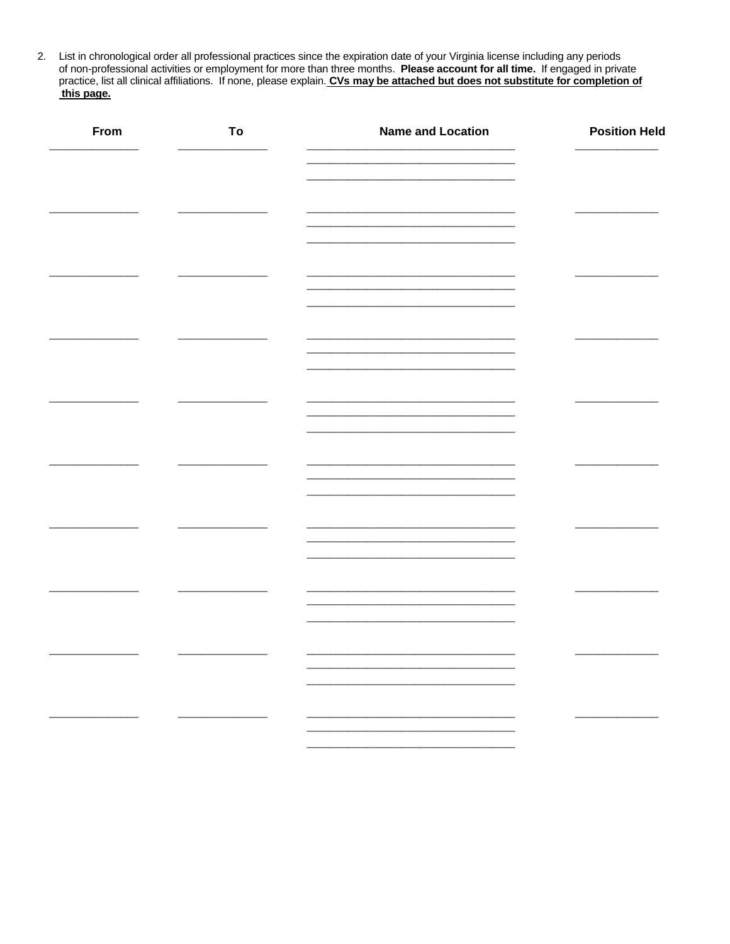2. List in chronological order all professional practices since the expiration date of your Virginia license including any periods of non-professional activities or employment for more than three months. Please account for this page.

| From | To | <b>Name and Location</b>                                                                                              | <b>Position Held</b> |
|------|----|-----------------------------------------------------------------------------------------------------------------------|----------------------|
|      |    |                                                                                                                       |                      |
|      |    | <u> 1980 - Johann Barn, amerikan bisa pada salah sebagai pertama dan bagi dalam bagi dalam bagi dalam bagi dalam </u> |                      |
|      |    |                                                                                                                       |                      |
|      |    |                                                                                                                       |                      |
|      |    |                                                                                                                       |                      |
|      |    |                                                                                                                       |                      |
|      |    |                                                                                                                       |                      |
|      |    |                                                                                                                       |                      |
|      |    |                                                                                                                       |                      |
|      |    |                                                                                                                       |                      |
|      |    |                                                                                                                       |                      |
|      |    |                                                                                                                       |                      |
|      |    |                                                                                                                       |                      |
|      |    |                                                                                                                       |                      |
|      |    |                                                                                                                       |                      |
|      |    |                                                                                                                       |                      |
|      |    |                                                                                                                       |                      |
|      |    |                                                                                                                       |                      |
|      |    |                                                                                                                       |                      |
|      |    |                                                                                                                       |                      |
|      |    |                                                                                                                       |                      |
|      |    |                                                                                                                       |                      |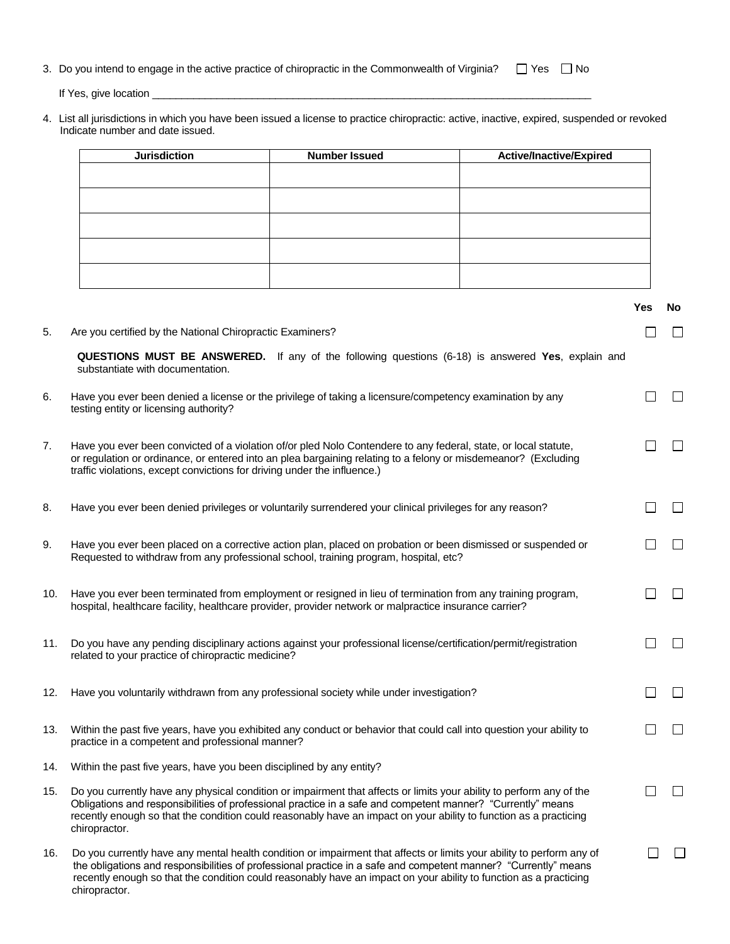|  | 3. Do you intend to engage in the active practice of chiropractic in the Commonwealth of Virginia? |  |  | $\Box$ Yes $\Box$ No |  |
|--|----------------------------------------------------------------------------------------------------|--|--|----------------------|--|
|--|----------------------------------------------------------------------------------------------------|--|--|----------------------|--|

If Yes, give location \_\_\_\_\_\_\_\_\_\_\_\_\_\_\_\_\_\_\_\_\_\_\_\_\_\_\_\_\_\_\_\_\_\_\_\_\_\_\_\_\_\_\_\_\_\_\_\_\_\_\_\_\_\_\_\_\_\_\_\_\_\_\_\_\_\_\_\_\_\_\_\_\_\_\_

chiropractor.

4. List all jurisdictions in which you have been issued a license to practice chiropractic: active, inactive, expired, suspended or revoked Indicate number and date issued.

|     | <b>Jurisdiction</b>                                                                                                                                                                                                                                                                                                                                                       | <b>Number Issued</b> | Active/Inactive/Expired |     |           |
|-----|---------------------------------------------------------------------------------------------------------------------------------------------------------------------------------------------------------------------------------------------------------------------------------------------------------------------------------------------------------------------------|----------------------|-------------------------|-----|-----------|
|     |                                                                                                                                                                                                                                                                                                                                                                           |                      |                         |     |           |
|     |                                                                                                                                                                                                                                                                                                                                                                           |                      |                         |     |           |
|     |                                                                                                                                                                                                                                                                                                                                                                           |                      |                         |     |           |
|     |                                                                                                                                                                                                                                                                                                                                                                           |                      |                         |     |           |
|     |                                                                                                                                                                                                                                                                                                                                                                           |                      |                         |     |           |
|     |                                                                                                                                                                                                                                                                                                                                                                           |                      |                         |     |           |
|     |                                                                                                                                                                                                                                                                                                                                                                           |                      |                         | Yes | <b>No</b> |
| 5.  | Are you certified by the National Chiropractic Examiners?                                                                                                                                                                                                                                                                                                                 |                      |                         |     |           |
|     | QUESTIONS MUST BE ANSWERED. If any of the following questions (6-18) is answered Yes, explain and<br>substantiate with documentation.                                                                                                                                                                                                                                     |                      |                         |     |           |
| 6.  | Have you ever been denied a license or the privilege of taking a licensure/competency examination by any<br>testing entity or licensing authority?                                                                                                                                                                                                                        |                      |                         |     |           |
| 7.  | Have you ever been convicted of a violation of/or pled Nolo Contendere to any federal, state, or local statute,<br>or regulation or ordinance, or entered into an plea bargaining relating to a felony or misdemeanor? (Excluding<br>traffic violations, except convictions for driving under the influence.)                                                             |                      |                         |     |           |
| 8.  | Have you ever been denied privileges or voluntarily surrendered your clinical privileges for any reason?                                                                                                                                                                                                                                                                  |                      |                         |     |           |
| 9.  | Have you ever been placed on a corrective action plan, placed on probation or been dismissed or suspended or<br>Requested to withdraw from any professional school, training program, hospital, etc?                                                                                                                                                                      |                      |                         |     |           |
| 10. | Have you ever been terminated from employment or resigned in lieu of termination from any training program,<br>hospital, healthcare facility, healthcare provider, provider network or malpractice insurance carrier?                                                                                                                                                     |                      |                         |     |           |
| 11. | Do you have any pending disciplinary actions against your professional license/certification/permit/registration<br>related to your practice of chiropractic medicine?                                                                                                                                                                                                    |                      |                         |     |           |
| 12. | Have you voluntarily withdrawn from any professional society while under investigation?                                                                                                                                                                                                                                                                                   |                      |                         |     |           |
| 13. | Within the past five years, have you exhibited any conduct or behavior that could call into question your ability to<br>practice in a competent and professional manner?                                                                                                                                                                                                  |                      |                         |     |           |
| 14. | Within the past five years, have you been disciplined by any entity?                                                                                                                                                                                                                                                                                                      |                      |                         |     |           |
| 15. | Do you currently have any physical condition or impairment that affects or limits your ability to perform any of the<br>Obligations and responsibilities of professional practice in a safe and competent manner? "Currently" means<br>recently enough so that the condition could reasonably have an impact on your ability to function as a practicing<br>chiropractor. |                      |                         |     |           |
| 16. | Do you currently have any mental health condition or impairment that affects or limits your ability to perform any of<br>the obligations and responsibilities of professional practice in a safe and competent manner? "Currently" means<br>recently enough so that the condition could reasonably have an impact on your ability to function as a practicing             |                      |                         |     |           |